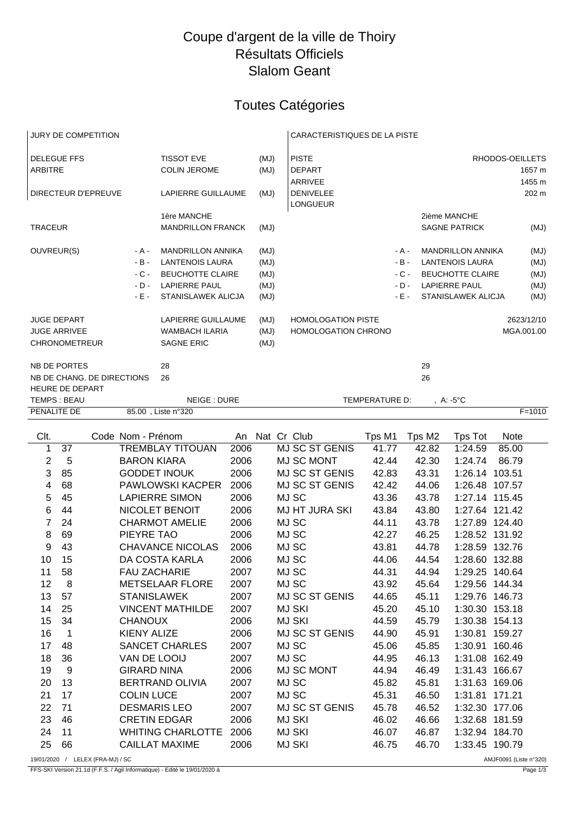## Coupe d'argent de la ville de Thoiry Résultats Officiels Slalom Geant

## Toutes Catégories

| <b>JURY DE COMPETITION</b> |                      |  |                            |                           |      |                            | <b>CARACTERISTIQUES DE LA PISTE</b> |                |        |                 |                           |             |            |
|----------------------------|----------------------|--|----------------------------|---------------------------|------|----------------------------|-------------------------------------|----------------|--------|-----------------|---------------------------|-------------|------------|
| <b>DELEGUE FFS</b>         |                      |  |                            | <b>TISSOT EVE</b>         |      | (MJ)                       | <b>PISTE</b>                        |                |        | RHODOS-OEILLETS |                           |             |            |
| <b>ARBITRE</b>             |                      |  |                            | <b>COLIN JEROME</b>       |      | (MJ)                       | <b>DEPART</b>                       |                |        |                 |                           |             | 1657 m     |
|                            |                      |  |                            |                           |      |                            | <b>ARRIVEE</b>                      |                |        |                 |                           |             | 1455 m     |
|                            | DIRECTEUR D'EPREUVE  |  |                            | LAPIERRE GUILLAUME        |      | (MJ)                       | <b>DENIVELEE</b><br><b>LONGUEUR</b> |                |        |                 |                           |             | 202 m      |
|                            |                      |  |                            | 1ère MANCHE               |      |                            |                                     |                |        |                 | 2ième MANCHE              |             |            |
| <b>TRACEUR</b>             |                      |  |                            | <b>MANDRILLON FRANCK</b>  |      | (MJ)                       |                                     |                |        |                 | <b>SAGNE PATRICK</b>      |             | (MJ)       |
| OUVREUR(S)                 |                      |  | - A -                      | <b>MANDRILLON ANNIKA</b>  |      | (MJ)                       |                                     |                | - A -  |                 | <b>MANDRILLON ANNIKA</b>  |             | (MJ)       |
|                            |                      |  | $-B -$                     | <b>LANTENOIS LAURA</b>    |      | (MJ)                       |                                     |                | $-B -$ |                 | <b>LANTENOIS LAURA</b>    |             | (MJ)       |
|                            |                      |  | $-C -$                     | <b>BEUCHOTTE CLAIRE</b>   |      | (MJ)                       |                                     |                | $-C -$ |                 | <b>BEUCHOTTE CLAIRE</b>   |             | (MJ)       |
|                            |                      |  | $-D -$                     | <b>LAPIERRE PAUL</b>      |      | (MJ)                       |                                     |                | $-D -$ |                 | <b>LAPIERRE PAUL</b>      |             | (MJ)       |
|                            |                      |  | $-E -$                     | <b>STANISLAWEK ALICJA</b> |      | (MJ)                       |                                     |                | $-E -$ |                 | <b>STANISLAWEK ALICJA</b> |             | (MJ)       |
|                            | <b>JUGE DEPART</b>   |  |                            | <b>LAPIERRE GUILLAUME</b> |      | (MJ)                       | <b>HOMOLOGATION PISTE</b>           |                |        |                 |                           |             | 2623/12/10 |
| <b>JUGE ARRIVEE</b>        |                      |  | <b>WAMBACH ILARIA</b>      |                           | (MJ) | <b>HOMOLOGATION CHRONO</b> |                                     |                |        |                 | MGA.001.00                |             |            |
|                            | <b>CHRONOMETREUR</b> |  |                            | <b>SAGNE ERIC</b>         |      | (MJ)                       |                                     |                |        |                 |                           |             |            |
|                            | <b>NB DE PORTES</b>  |  |                            | 28                        |      |                            |                                     |                |        | 29              |                           |             |            |
|                            |                      |  | NB DE CHANG. DE DIRECTIONS | 26                        |      |                            |                                     |                |        | 26              |                           |             |            |
|                            | HEURE DE DEPART      |  |                            |                           |      |                            |                                     |                |        |                 |                           |             |            |
|                            | TEMPS: BEAU          |  |                            | <b>NEIGE: DURE</b>        |      |                            |                                     | TEMPERATURE D: |        |                 | , A: -5°C                 |             |            |
| PENALITE DE                |                      |  |                            | 85.00, Liste n°320        |      |                            |                                     |                |        |                 |                           |             | $F = 1010$ |
|                            |                      |  |                            |                           |      |                            |                                     |                |        |                 |                           |             |            |
| Clt.                       |                      |  | Code Nom - Prénom          |                           |      |                            | An Nat Cr Club                      | Tps M1         |        | Tps M2          | <b>Tps Tot</b>            | <b>Note</b> |            |
| 1                          | 37                   |  |                            | <b>TREMBLAY TITOUAN</b>   | 2006 |                            | MJ SC ST GENIS                      | 41.77          |        | 42.82           | 1:24.59                   | 85.00       |            |
| 2                          | 5                    |  | <b>BARON KIARA</b>         |                           | 2006 |                            | <b>MJ SC MONT</b>                   | 42.44          |        | 42.30           | 1:24.74                   | 86.79       |            |
| 3                          | 85                   |  |                            | <b>GODDET INOUK</b>       | 2006 |                            | <b>MJ SC ST GENIS</b>               | 42.83          |        | 43.31           | 1:26.14                   | 103.51      |            |
| 4                          | 68                   |  |                            | PAWLOWSKI KACPER          | 2006 |                            | <b>MJ SC ST GENIS</b>               | 42.42          |        | 44.06           | 1:26.48 107.57            |             |            |

| 2  | 5  | <b>BARON KIARA</b>       | 2006 | MJ SC MONT            | 42.44 | 42.30 | 1:24.74        | 86.79  |
|----|----|--------------------------|------|-----------------------|-------|-------|----------------|--------|
| 3  | 85 | <b>GODDET INOUK</b>      | 2006 | MJ SC ST GENIS        | 42.83 | 43.31 | 1:26.14 103.51 |        |
| 4  | 68 | <b>PAWLOWSKI KACPER</b>  | 2006 | MJ SC ST GENIS        | 42.42 | 44.06 | 1:26.48 107.57 |        |
| 5  | 45 | <b>LAPIERRE SIMON</b>    | 2006 | MJ SC                 | 43.36 | 43.78 | 1:27.14 115.45 |        |
| 6  | 44 | NICOLET BENOIT           | 2006 | <b>MJ HT JURA SKI</b> | 43.84 | 43.80 | 1:27.64 121.42 |        |
| 7  | 24 | <b>CHARMOT AMELIE</b>    | 2006 | MJ SC                 | 44.11 | 43.78 | 1:27.89 124.40 |        |
| 8  | 69 | PIEYRE TAO               | 2006 | MJ SC                 | 42.27 | 46.25 | 1:28.52 131.92 |        |
| 9  | 43 | <b>CHAVANCE NICOLAS</b>  | 2006 | MJ SC                 | 43.81 | 44.78 | 1:28.59 132.76 |        |
| 10 | 15 | DA COSTA KARLA           | 2006 | MJ SC                 | 44.06 | 44.54 | 1:28.60 132.88 |        |
| 11 | 58 | <b>FAU ZACHARIE</b>      | 2007 | MJ SC                 | 44.31 | 44.94 | 1:29.25 140.64 |        |
| 12 | 8  | <b>METSELAAR FLORE</b>   | 2007 | MJ SC                 | 43.92 | 45.64 | 1:29.56 144.34 |        |
| 13 | 57 | <b>STANISLAWEK</b>       | 2007 | MJ SC ST GENIS        | 44.65 | 45.11 | 1:29.76 146.73 |        |
| 14 | 25 | <b>VINCENT MATHILDE</b>  | 2007 | <b>MJ SKI</b>         | 45.20 | 45.10 | 1:30.30 153.18 |        |
| 15 | 34 | <b>CHANOUX</b>           | 2006 | <b>MJ SKI</b>         | 44.59 | 45.79 | 1:30.38 154.13 |        |
| 16 | 1  | <b>KIENY ALIZE</b>       | 2006 | <b>MJ SC ST GENIS</b> | 44.90 | 45.91 | 1:30.81        | 159.27 |
| 17 | 48 | <b>SANCET CHARLES</b>    | 2007 | MJ SC                 | 45.06 | 45.85 | 1:30.91        | 160.46 |
| 18 | 36 | VAN DE LOOIJ             | 2007 | MJ SC                 | 44.95 | 46.13 | 1:31.08        | 162.49 |
| 19 | 9  | <b>GIRARD NINA</b>       | 2006 | MJ SC MONT            | 44.94 | 46.49 | 1:31.43 166.67 |        |
| 20 | 13 | <b>BERTRAND OLIVIA</b>   | 2007 | MJ SC                 | 45.82 | 45.81 | 1:31.63 169.06 |        |
| 21 | 17 | <b>COLIN LUCE</b>        | 2007 | MJ SC                 | 45.31 | 46.50 | 1:31.81 171.21 |        |
| 22 | 71 | <b>DESMARIS LEO</b>      | 2007 | <b>MJ SC ST GENIS</b> | 45.78 | 46.52 | 1:32.30 177.06 |        |
| 23 | 46 | <b>CRETIN EDGAR</b>      | 2006 | <b>MJ SKI</b>         | 46.02 | 46.66 | 1:32.68        | 181.59 |
| 24 | 11 | <b>WHITING CHARLOTTE</b> | 2006 | <b>MJ SKI</b>         | 46.07 | 46.87 | 1:32.94 184.70 |        |
| 25 | 66 | <b>CAILLAT MAXIME</b>    | 2006 | <b>MJ SKI</b>         | 46.75 | 46.70 | 1:33.45 190.79 |        |
|    |    |                          |      |                       |       |       |                |        |

19/01/2020 / LELEX (FRA-MJ) / SC AMJF0091 (Liste n°320)

FFS-SKI Version 21.1d (F.F.S. / Agil Informatique) - Edité le 19/01/2020 à Page 1/3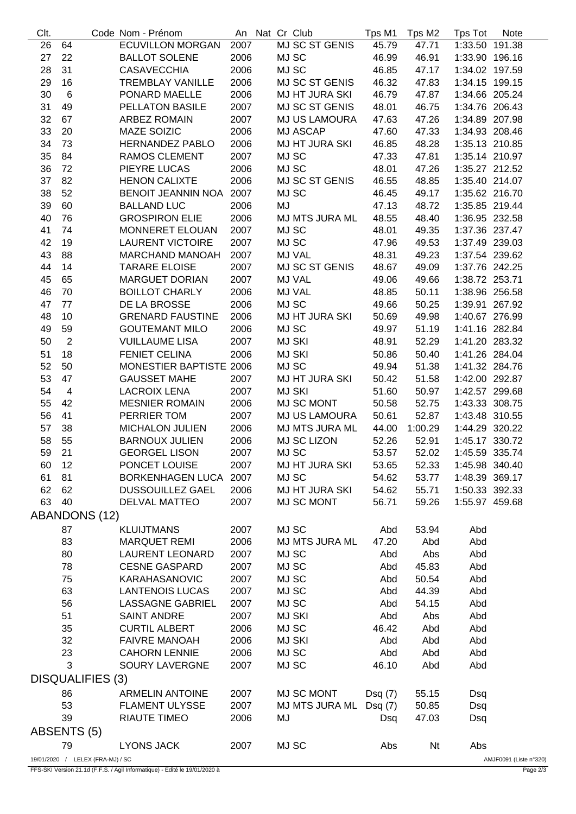| Clt.                             |                      | Code Nom - Prénom         |      | An Nat Cr Club |                       | Tps M1 | Tps M2         | Tps Tot                | Note |
|----------------------------------|----------------------|---------------------------|------|----------------|-----------------------|--------|----------------|------------------------|------|
| 26                               | 64                   | <b>ECUVILLON MORGAN</b>   | 2007 |                | <b>MJ SC ST GENIS</b> | 45.79  | 47.71          | 1:33.50 191.38         |      |
| 27                               | 22                   | <b>BALLOT SOLENE</b>      | 2006 | MJ SC          |                       | 46.99  | 46.91          | 1:33.90 196.16         |      |
| 28                               | 31                   | <b>CASAVECCHIA</b>        | 2006 | MJ SC          |                       | 46.85  | 47.17          | 1:34.02 197.59         |      |
| 29                               | 16                   | <b>TREMBLAY VANILLE</b>   | 2006 |                | MJ SC ST GENIS        | 46.32  | 47.83          | 1:34.15 199.15         |      |
| 30                               | $\,6$                | PONARD MAELLE             | 2006 |                | MJ HT JURA SKI        | 46.79  | 47.87          | 1:34.66 205.24         |      |
| 31                               | 49                   | PELLATON BASILE           | 2007 |                | MJ SC ST GENIS        | 48.01  | 46.75          | 1:34.76 206.43         |      |
| 32                               | 67                   | <b>ARBEZ ROMAIN</b>       | 2007 |                | <b>MJ US LAMOURA</b>  | 47.63  | 47.26          | 1:34.89 207.98         |      |
| 33                               | 20                   | <b>MAZE SOIZIC</b>        | 2006 |                | MJ ASCAP              | 47.60  | 47.33          | 1:34.93 208.46         |      |
| 34                               | 73                   | <b>HERNANDEZ PABLO</b>    | 2006 |                | <b>MJ HT JURA SKI</b> | 46.85  | 48.28          | 1:35.13 210.85         |      |
| 35                               | 84                   | <b>RAMOS CLEMENT</b>      | 2007 | MJ SC          |                       | 47.33  | 47.81          | 1:35.14 210.97         |      |
| 36                               | 72                   | PIEYRE LUCAS              | 2006 | MJ SC          |                       | 48.01  | 47.26          | 1:35.27 212.52         |      |
| 37                               | 82                   | <b>HENON CALIXTE</b>      | 2006 |                | MJ SC ST GENIS        | 46.55  | 48.85          | 1:35.40 214.07         |      |
| 38                               | 52                   | <b>BENOIT JEANNIN NOA</b> | 2007 | MJ SC          |                       | 46.45  | 49.17          | 1:35.62 216.70         |      |
|                                  | 60                   |                           |      | MJ             |                       |        |                |                        |      |
| 39                               |                      | <b>BALLAND LUC</b>        | 2006 |                |                       | 47.13  | 48.72          | 1:35.85 219.44         |      |
| 40                               | 76                   | <b>GROSPIRON ELIE</b>     | 2006 |                | MJ MTS JURA ML        | 48.55  | 48.40          | 1:36.95 232.58         |      |
| 41                               | 74                   | MONNERET ELOUAN           | 2007 | MJ SC          |                       | 48.01  | 49.35          | 1:37.36 237.47         |      |
| 42                               | 19                   | <b>LAURENT VICTOIRE</b>   | 2007 | MJ SC          |                       | 47.96  | 49.53          | 1:37.49 239.03         |      |
| 43                               | 88                   | <b>MARCHAND MANOAH</b>    | 2007 |                | MJ VAL                | 48.31  | 49.23          | 1:37.54 239.62         |      |
| 44                               | 14                   | <b>TARARE ELOISE</b>      | 2007 |                | MJ SC ST GENIS        | 48.67  | 49.09          | 1:37.76 242.25         |      |
| 45                               | 65                   | <b>MARGUET DORIAN</b>     | 2007 |                | <b>MJ VAL</b>         | 49.06  | 49.66          | 1:38.72 253.71         |      |
| 46                               | 70                   | <b>BOILLOT CHARLY</b>     | 2006 |                | MJ VAL                | 48.85  | 50.11          | 1:38.96 256.58         |      |
| 47                               | 77                   | DE LA BROSSE              | 2006 | MJ SC          |                       | 49.66  | 50.25          | 1:39.91 267.92         |      |
| 48                               | 10                   | <b>GRENARD FAUSTINE</b>   | 2006 |                | <b>MJ HT JURA SKI</b> | 50.69  | 49.98          | 1:40.67 276.99         |      |
| 49                               | 59                   | <b>GOUTEMANT MILO</b>     | 2006 | MJ SC          |                       | 49.97  | 51.19          | 1:41.16 282.84         |      |
| 50                               | $\overline{2}$       | <b>VUILLAUME LISA</b>     | 2007 | <b>MJ SKI</b>  |                       | 48.91  | 52.29          | 1:41.20 283.32         |      |
| 51                               | 18                   | <b>FENIET CELINA</b>      | 2006 | <b>MJ SKI</b>  |                       | 50.86  | 50.40          | 1:41.26 284.04         |      |
| 52                               | 50                   | MONESTIER BAPTISTE 2006   |      | MJ SC          |                       | 49.94  | 51.38          | 1:41.32 284.76         |      |
| 53                               | 47                   | <b>GAUSSET MAHE</b>       | 2007 |                | <b>MJ HT JURA SKI</b> | 50.42  | 51.58          | 1:42.00 292.87         |      |
| 54                               | $\overline{4}$       | <b>LACROIX LENA</b>       | 2007 | <b>MJ SKI</b>  |                       | 51.60  | 50.97          | 1:42.57 299.68         |      |
| 55                               | 42                   | <b>MESNIER ROMAIN</b>     | 2006 |                | MJ SC MONT            | 50.58  | 52.75          | 1:43.33 308.75         |      |
| 56                               | 41                   | PERRIER TOM               | 2007 |                | <b>MJ US LAMOURA</b>  | 50.61  | 52.87          | 1:43.48 310.55         |      |
| 57                               | 38                   | <b>MICHALON JULIEN</b>    | 2006 |                | MJ MTS JURA ML        | 44.00  | 1:00.29        | 1:44.29 320.22         |      |
| 58                               | 55                   | <b>BARNOUX JULIEN</b>     | 2006 |                | MJ SC LIZON           | 52.26  | 52.91          | 1:45.17 330.72         |      |
| 59                               | 21                   | <b>GEORGEL LISON</b>      | 2007 | MJ SC          |                       | 53.57  | 52.02          | 1:45.59 335.74         |      |
|                                  | 12                   | PONCET LOUISE             | 2007 |                | <b>MJ HT JURA SKI</b> | 53.65  | 52.33          | 1:45.98 340.40         |      |
| 60<br>61                         | 81                   | <b>BORKENHAGEN LUCA</b>   | 2007 | MJ SC          |                       | 54.62  | 53.77          | 1:48.39 369.17         |      |
| 62                               | 62                   |                           |      |                | <b>MJ HT JURA SKI</b> | 54.62  |                | 1:50.33 392.33         |      |
|                                  |                      | <b>DUSSOUILLEZ GAEL</b>   | 2006 |                |                       |        | 55.71<br>59.26 |                        |      |
| 63                               | - 40                 | DELVAL MATTEO             | 2007 |                | MJ SC MONT            | 56.71  |                | 1:55.97 459.68         |      |
|                                  | <b>ABANDONS (12)</b> |                           |      |                |                       |        |                |                        |      |
|                                  | 87                   | <b>KLUIJTMANS</b>         | 2007 | MJ SC          |                       | Abd    | 53.94          | Abd                    |      |
|                                  | 83                   | <b>MARQUET REMI</b>       | 2006 |                | MJ MTS JURA ML        | 47.20  | Abd            | Abd                    |      |
|                                  | 80                   | <b>LAURENT LEONARD</b>    | 2007 | MJ SC          |                       | Abd    | Abs            | Abd                    |      |
|                                  | 78                   | <b>CESNE GASPARD</b>      | 2007 | MJ SC          |                       | Abd    | 45.83          | Abd                    |      |
|                                  | 75                   | KARAHASANOVIC             | 2007 | MJ SC          |                       | Abd    | 50.54          | Abd                    |      |
|                                  | 63                   | <b>LANTENOIS LUCAS</b>    | 2007 | MJ SC          |                       | Abd    | 44.39          | Abd                    |      |
|                                  | 56                   | <b>LASSAGNE GABRIEL</b>   | 2007 | MJ SC          |                       | Abd    | 54.15          | Abd                    |      |
|                                  | 51                   | <b>SAINT ANDRE</b>        | 2007 | <b>MJ SKI</b>  |                       | Abd    | Abs            | Abd                    |      |
|                                  | 35                   | <b>CURTIL ALBERT</b>      | 2006 | MJ SC          |                       | 46.42  | Abd            | Abd                    |      |
|                                  | 32                   | <b>FAIVRE MANOAH</b>      | 2006 | <b>MJ SKI</b>  |                       | Abd    | Abd            | Abd                    |      |
|                                  | 23                   | <b>CAHORN LENNIE</b>      | 2006 | MJ SC          |                       | Abd    | Abd            | Abd                    |      |
|                                  | 3                    | <b>SOURY LAVERGNE</b>     | 2007 | MJ SC          |                       | 46.10  | Abd            | Abd                    |      |
| DISQUALIFIES (3)                 |                      |                           |      |                |                       |        |                |                        |      |
|                                  |                      |                           |      |                |                       |        |                |                        |      |
|                                  | 86                   | <b>ARMELIN ANTOINE</b>    | 2007 |                | MJ SC MONT            | Dsq(7) | 55.15          | Dsq                    |      |
|                                  | 53                   | <b>FLAMENT ULYSSE</b>     | 2007 |                | MJ MTS JURA ML        | Dsq(7) | 50.85          | Dsq                    |      |
|                                  | 39                   | RIAUTE TIMEO              | 2006 | MJ             |                       | Dsq    | 47.03          | Dsq                    |      |
|                                  | ABSENTS (5)          |                           |      |                |                       |        |                |                        |      |
|                                  | 79                   | <b>LYONS JACK</b>         | 2007 | MJ SC          |                       | Abs    | Nt             | Abs                    |      |
| 19/01/2020 / LELEX (FRA-MJ) / SC |                      |                           |      |                |                       |        |                | AMJF0091 (Liste n°320) |      |